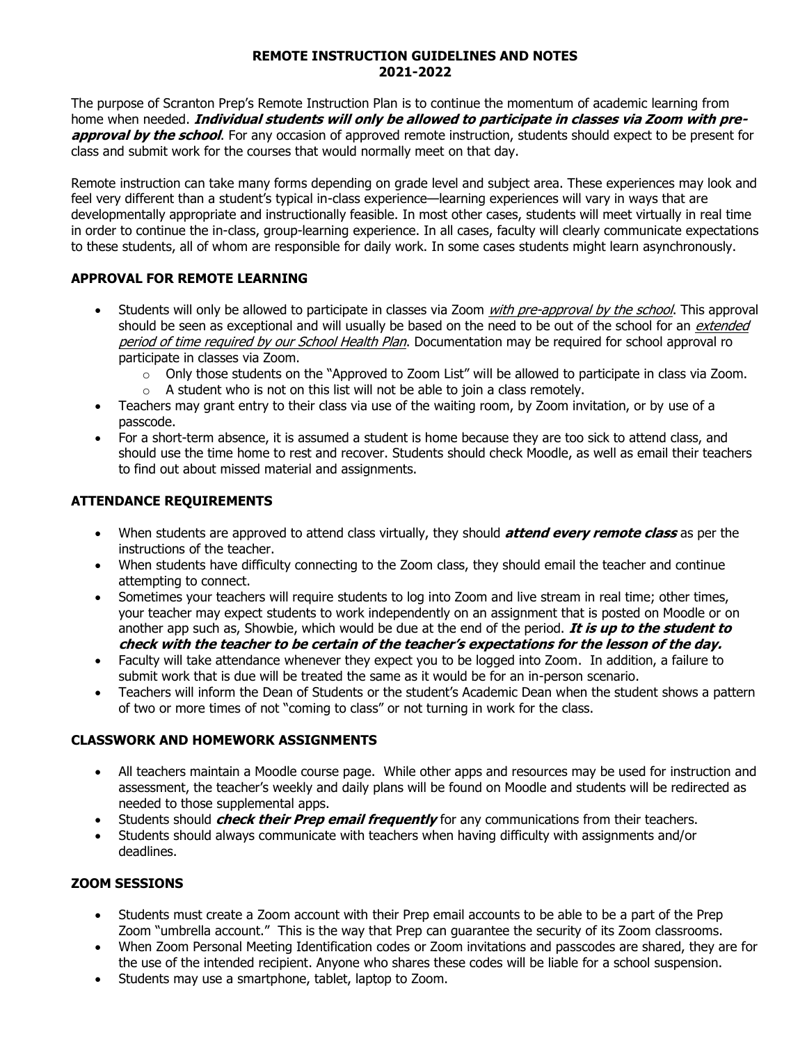### **REMOTE INSTRUCTION GUIDELINES AND NOTES 2021-2022**

The purpose of Scranton Prep's Remote Instruction Plan is to continue the momentum of academic learning from home when needed. **Individual students will only be allowed to participate in classes via Zoom with preapproval by the school**. For any occasion of approved remote instruction, students should expect to be present for class and submit work for the courses that would normally meet on that day.

Remote instruction can take many forms depending on grade level and subject area. These experiences may look and feel very different than a student's typical in-class experience—learning experiences will vary in ways that are developmentally appropriate and instructionally feasible. In most other cases, students will meet virtually in real time in order to continue the in-class, group-learning experience. In all cases, faculty will clearly communicate expectations to these students, all of whom are responsible for daily work. In some cases students might learn asynchronously.

# **APPROVAL FOR REMOTE LEARNING**

- Students will only be allowed to participate in classes via Zoom with pre-approval by the school. This approval should be seen as exceptional and will usually be based on the need to be out of the school for an *extended* period of time required by our School Health Plan. Documentation may be required for school approval ro participate in classes via Zoom.
	- $\circ$  Only those students on the "Approved to Zoom List" will be allowed to participate in class via Zoom. o A student who is not on this list will not be able to join a class remotely.
- Teachers may grant entry to their class via use of the waiting room, by Zoom invitation, or by use of a passcode.
- For a short-term absence, it is assumed a student is home because they are too sick to attend class, and should use the time home to rest and recover. Students should check Moodle, as well as email their teachers to find out about missed material and assignments.

# **ATTENDANCE REQUIREMENTS**

- When students are approved to attend class virtually, they should **attend every remote class** as per the instructions of the teacher.
- When students have difficulty connecting to the Zoom class, they should email the teacher and continue attempting to connect.
- Sometimes your teachers will require students to log into Zoom and live stream in real time; other times, your teacher may expect students to work independently on an assignment that is posted on Moodle or on another app such as, Showbie, which would be due at the end of the period. **It is up to the student to check with the teacher to be certain of the teacher's expectations for the lesson of the day.**
- Faculty will take attendance whenever they expect you to be logged into Zoom. In addition, a failure to submit work that is due will be treated the same as it would be for an in-person scenario.
- Teachers will inform the Dean of Students or the student's Academic Dean when the student shows a pattern of two or more times of not "coming to class" or not turning in work for the class.

## **CLASSWORK AND HOMEWORK ASSIGNMENTS**

- All teachers maintain a Moodle course page. While other apps and resources may be used for instruction and assessment, the teacher's weekly and daily plans will be found on Moodle and students will be redirected as needed to those supplemental apps.
- Students should **check their Prep email frequently** for any communications from their teachers.
- Students should always communicate with teachers when having difficulty with assignments and/or deadlines.

## **ZOOM SESSIONS**

- Students must create a Zoom account with their Prep email accounts to be able to be a part of the Prep Zoom "umbrella account." This is the way that Prep can guarantee the security of its Zoom classrooms.
- When Zoom Personal Meeting Identification codes or Zoom invitations and passcodes are shared, they are for the use of the intended recipient. Anyone who shares these codes will be liable for a school suspension.
- Students may use a smartphone, tablet, laptop to Zoom.